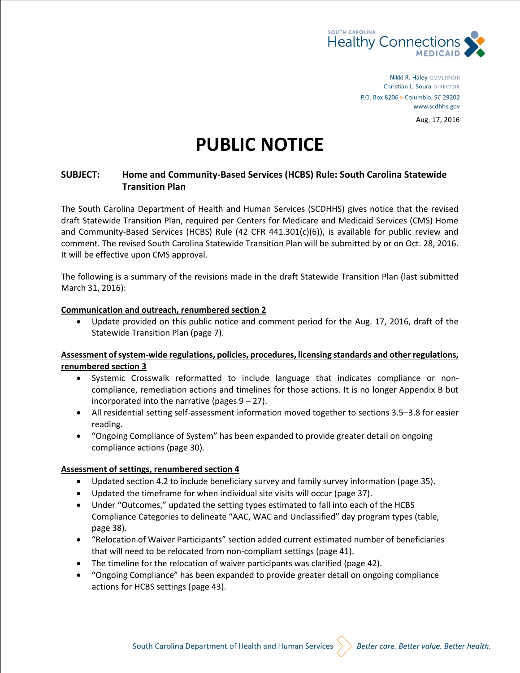

Nikki R. Haley GOVERNOR Christian L. Soura DIRECTOR P.O. Box 8206 > Columbia, SC 29202 www.scdhhs.gov Aug. 17, 2016

# **PUBLIC NOTICE**

# **SUBJECT: Home and Community-Based Services (HCBS) Rule: South Carolina Statewide Transition Plan**

The South Carolina Department of Health and Human Services (SCDHHS) gives notice that the revised draft Statewide Transition Plan, required per Centers for Medicare and Medicaid Services (CMS) Home and Community-Based Services (HCBS) Rule (42 CFR 441.301(c)(6)), is available for public review and comment. The revised South Carolina Statewide Transition Plan will be submitted by or on Oct. 28, 2016. It will be effective upon CMS approval.

The following is a summary of the revisions made in the draft Statewide Transition Plan (last submitted March 31, 2016):

#### **Communication and outreach, renumbered section 2**

 Update provided on this public notice and comment period for the Aug. 17, 2016, draft of the Statewide Transition Plan (page 7).

#### **Assessment of system-wide regulations, policies, procedures, licensing standards and other regulations, renumbered section 3**

- Systemic Crosswalk reformatted to include language that indicates compliance or noncompliance, remediation actions and timelines for those actions. It is no longer Appendix B but incorporated into the narrative (pages  $9 - 27$ ).
- All residential setting self-assessment information moved together to sections 3.5–3.8 for easier reading.
- "Ongoing Compliance of System" has been expanded to provide greater detail on ongoing compliance actions (page 30).

#### **Assessment of settings, renumbered section 4**

- Updated section 4.2 to include beneficiary survey and family survey information (page 35).
- Updated the timeframe for when individual site visits will occur (page 37).
- Under "Outcomes," updated the setting types estimated to fall into each of the HCBS Compliance Categories to delineate "AAC, WAC and Unclassified" day program types (table, page 38).
- "Relocation of Waiver Participants" section added current estimated number of beneficiaries that will need to be relocated from non-compliant settings (page 41).
- The timeline for the relocation of waiver participants was clarified (page 42).
- "Ongoing Compliance" has been expanded to provide greater detail on ongoing compliance actions for HCBS settings (page 43).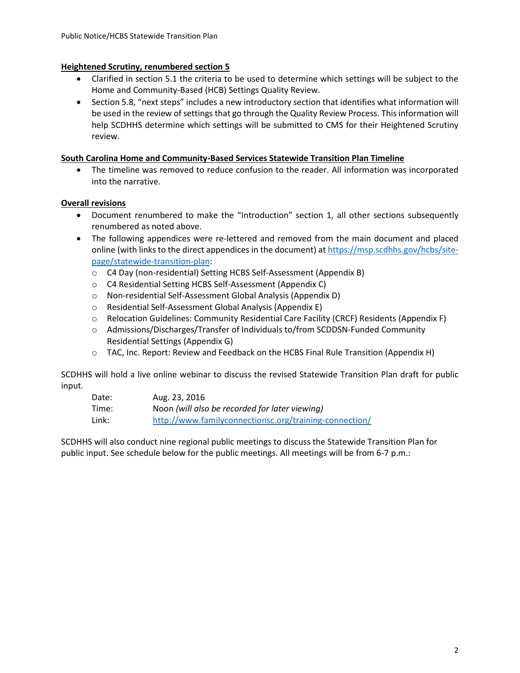# **Heightened Scrutiny, renumbered section 5**

- Clarified in section 5.1 the criteria to be used to determine which settings will be subject to the Home and Community-Based (HCB) Settings Quality Review.
- Section 5.8, "next steps" includes a new introductory section that identifies what information will be used in the review of settings that go through the Quality Review Process. This information will help SCDHHS determine which settings will be submitted to CMS for their Heightened Scrutiny review.

# **South Carolina Home and Community-Based Services Statewide Transition Plan Timeline**

 The timeline was removed to reduce confusion to the reader. All information was incorporated into the narrative.

# **Overall revisions**

- Document renumbered to make the "Introduction" section 1, all other sections subsequently renumbered as noted above.
- The following appendices were re-lettered and removed from the main document and placed online (with links to the direct appendices in the document) at [https://msp.scdhhs.gov/hcbs/site](https://msp.scdhhs.gov/hcbs/site-page/statewide-transition-plan)[page/statewide-transition-plan:](https://msp.scdhhs.gov/hcbs/site-page/statewide-transition-plan)
	- o C4 Day (non-residential) Setting HCBS Self-Assessment (Appendix B)
	- o C4 Residential Setting HCBS Self-Assessment (Appendix C)
	- o Non-residential Self-Assessment Global Analysis (Appendix D)
	- o Residential Self-Assessment Global Analysis (Appendix E)
	- o Relocation Guidelines: Community Residential Care Facility (CRCF) Residents (Appendix F)
	- o Admissions/Discharges/Transfer of Individuals to/from SCDDSN-Funded Community Residential Settings (Appendix G)
	- $\circ$  TAC, Inc. Report: Review and Feedback on the HCBS Final Rule Transition (Appendix H)

SCDHHS will hold a live online webinar to discuss the revised Statewide Transition Plan draft for public input.

| Date: | Aug. 23, 2016                                          |
|-------|--------------------------------------------------------|
| Time: | Noon (will also be recorded for later viewing)         |
| Link: | http://www.familyconnectionsc.org/training-connection/ |

SCDHHS will also conduct nine regional public meetings to discuss the Statewide Transition Plan for public input. See schedule below for the public meetings. All meetings will be from 6-7 p.m.: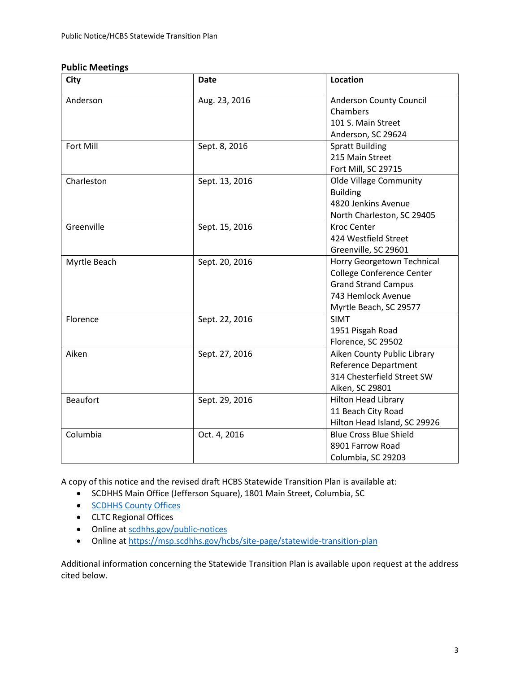# **Public Meetings**

| <b>City</b>     | <b>Date</b>    | Location                       |
|-----------------|----------------|--------------------------------|
| Anderson        | Aug. 23, 2016  | <b>Anderson County Council</b> |
|                 |                | Chambers                       |
|                 |                | 101 S. Main Street             |
|                 |                | Anderson, SC 29624             |
| Fort Mill       | Sept. 8, 2016  | <b>Spratt Building</b>         |
|                 |                | 215 Main Street                |
|                 |                | Fort Mill, SC 29715            |
| Charleston      | Sept. 13, 2016 | <b>Olde Village Community</b>  |
|                 |                | <b>Building</b>                |
|                 |                | 4820 Jenkins Avenue            |
|                 |                | North Charleston, SC 29405     |
| Greenville      | Sept. 15, 2016 | <b>Kroc Center</b>             |
|                 |                | 424 Westfield Street           |
|                 |                | Greenville, SC 29601           |
| Myrtle Beach    | Sept. 20, 2016 | Horry Georgetown Technical     |
|                 |                | College Conference Center      |
|                 |                | <b>Grand Strand Campus</b>     |
|                 |                | 743 Hemlock Avenue             |
|                 |                | Myrtle Beach, SC 29577         |
| Florence        | Sept. 22, 2016 | <b>SIMT</b>                    |
|                 |                | 1951 Pisgah Road               |
|                 |                | Florence, SC 29502             |
| Aiken           | Sept. 27, 2016 | Aiken County Public Library    |
|                 |                | <b>Reference Department</b>    |
|                 |                | 314 Chesterfield Street SW     |
|                 |                | Aiken, SC 29801                |
| <b>Beaufort</b> | Sept. 29, 2016 | <b>Hilton Head Library</b>     |
|                 |                | 11 Beach City Road             |
|                 |                | Hilton Head Island, SC 29926   |
| Columbia        | Oct. 4, 2016   | <b>Blue Cross Blue Shield</b>  |
|                 |                | 8901 Farrow Road               |
|                 |                | Columbia, SC 29203             |

A copy of this notice and the revised draft HCBS Statewide Transition Plan is available at:

- SCDHHS Main Office (Jefferson Square), 1801 Main Street, Columbia, SC
- **[SCDHHS County Offices](https://www.scdhhs.gov/site-page/where-go-help)**
- CLTC Regional Offices
- Online at [scdhhs.gov/](https://scdhhs.gov/)public-notices
- Online at <https://msp.scdhhs.gov/hcbs/site-page/statewide-transition-plan>

Additional information concerning the Statewide Transition Plan is available upon request at the address cited below.